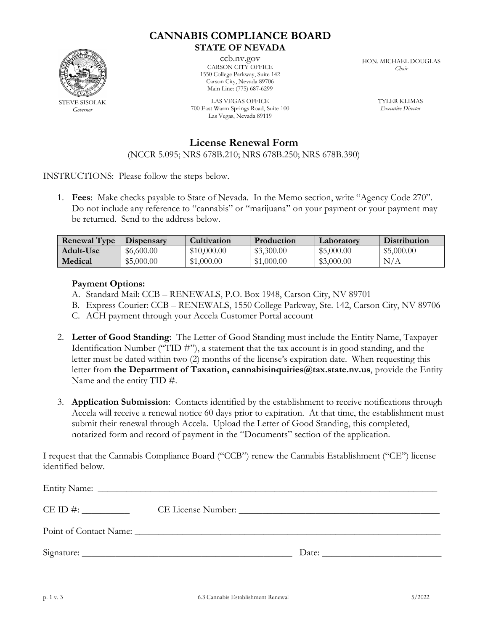

## **CANNABIS COMPLIANCE BOARD STATE OF NEVADA**

ccb.nv.gov CARSON CITY OFFICE 1550 College Parkway, Suite 142 Carson City, Nevada 89706 Main Line: (775) 687-6299

LAS VEGAS OFFICE 700 East Warm Springs Road, Suite 100 Las Vegas, Nevada 89119

HON. MICHAEL DOUGLAS *Chair*

> TYLER KLIMAS *Executive Director*

**License Renewal Form**

(NCCR 5.095; NRS 678B.210; NRS 678B.250; NRS 678B.390)

INSTRUCTIONS: Please follow the steps below.

1. **Fees**: Make checks payable to State of Nevada. In the Memo section, write "Agency Code 270". Do not include any reference to "cannabis" or "marijuana" on your payment or your payment may be returned. Send to the address below.

| <b>Renewal Type</b> | Dispensary | <b>Cultivation</b> | <b>Production</b> | Laboratory | <b>Distribution</b> |
|---------------------|------------|--------------------|-------------------|------------|---------------------|
| Adult-Use           | \$6,600.00 | \$10,000.00        | \$3,300.00        | \$5,000.00 | \$5,000.00          |
| Medical             | \$5,000.00 | \$1,000.00         | \$1,000.00        | \$3,000.00 | N/A                 |

## **Payment Options:**

- A. Standard Mail: CCB RENEWALS, P.O. Box 1948, Carson City, NV 89701
- B. Express Courier: CCB RENEWALS, 1550 College Parkway, Ste. 142, Carson City, NV 89706
- C. ACH payment through your Accela Customer Portal account
- 2. **Letter of Good Standing**: The Letter of Good Standing must include the Entity Name, Taxpayer Identification Number ("TID #"), a statement that the tax account is in good standing, and the letter must be dated within two (2) months of the license's expiration date. When requesting this letter from **the Department of Taxation, cannabisinquiries@tax.state.nv.us**, provide the Entity Name and the entity TID #.
- 3. **Application Submission**: Contacts identified by the establishment to receive notifications through Accela will receive a renewal notice 60 days prior to expiration. At that time, the establishment must submit their renewal through Accela. Upload the Letter of Good Standing, this completed, notarized form and record of payment in the "Documents" section of the application.

I request that the Cannabis Compliance Board ("CCB") renew the Cannabis Establishment ("CE") license identified below.

| Point of Contact Name: |       |
|------------------------|-------|
|                        | Date: |